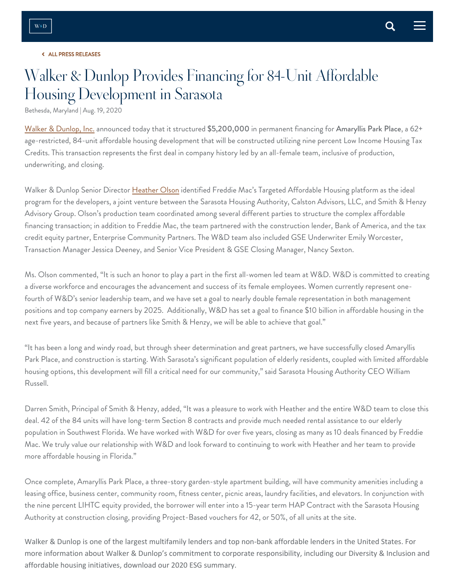## ALL PRESS RELEASES

## W[alker & Du](https://www.walkerdunlop.com/news-and-events/?PRESS)nlop Provides Financing for 84-Unit Affordab[le](https://twitter.com/share?text=Share%20the%20page) Housing Development in Sarasota

Bethesda, Maryland | Aug. 19, 2020

[Walker & Dunlop, Inc.](https://www.walkerdunlop.com/) announced today that it structured \$5,200,000 in permanent financing for Amaryllis Park Place, a 62+ age-restricted, 84-unit affordable housing development that will be constructed utilizing nine percent Low Income Housing Tax Credits. This transaction represents the first deal in company history led by an all-female team, inclusive of production, underwriting, and closing.

Walker & Dunlop Senior Director [Heather Olson](https://www.walkerdunlop.com/what-makes-us-different/bios/heather-olson/) identified Freddie Mac's Targeted Affordable Housing platform as the ideal program for the developers, a joint venture between the Sarasota Housing Authority, Calston Advisors, LLC, and Smith & Henzy Advisory Group. Olson's production team coordinated among several different parties to structure the complex affordable financing transaction; in addition to Freddie Mac, the team partnered with the construction lender, Bank of America, and the tax credit equity partner, Enterprise Community Partners. The W&D team also included GSE Underwriter Emily Worcester, Transaction Manager Jessica Deeney, and Senior Vice President & GSE Closing Manager, Nancy Sexton.

Ms. Olson commented, "It is such an honor to play a part in the first all-women led team at W&D. W&D is committed to creating a diverse workforce and encourages the advancement and success of its female employees. Women currently represent onefourth of W&D's senior leadership team, and we have set a goal to nearly double female representation in both management positions and top company earners by 2025. Additionally, W&D has set a goal to finance \$10 billion in affordable housing in the next five years, and because of partners like Smith & Henzy, we will be able to achieve that goal."

"It has been a long and windy road, but through sheer determination and great partners, we have successfully closed Amaryllis Park Place, and construction is starting. With Sarasota's significant population of elderly residents, coupled with limited affordable housing options, this development will fill a critical need for our community," said Sarasota Housing Authority CEO William Russell.

Darren Smith, Principal of Smith & Henzy, added, "It was a pleasure to work with Heather and the entire W&D team to close this deal. 42 of the 84 units will have long-term Section 8 contracts and provide much needed rental assistance to our elderly population in Southwest Florida. We have worked with W&D for over five years, closing as many as 10 deals financed by Freddie Mac. We truly value our relationship with W&D and look forward to continuing to work with Heather and her team to provide more affordable housing in Florida."

Once complete, Amaryllis Park Place, a three-story garden-style apartment building, will have community amenities including a leasing office, business center, community room, fitness center, picnic areas, laundry facilities, and elevators. In conjunction with the nine percent LIHTC equity provided, the borrower will enter into a 15-year term HAP Contract with the Sarasota Housing Authority at construction closing, providing Project-Based vouchers for 42, or 50%, of all units at the site.

Walker & Dunlop is one of the largest multifamily lenders and top non-bank affordable lenders in the United States. For more information about Walker & Dunlop's commitment to corporate responsibility, including our Diversity & Inclusion and affordable housing initiatives, download our 2020 ESG summary.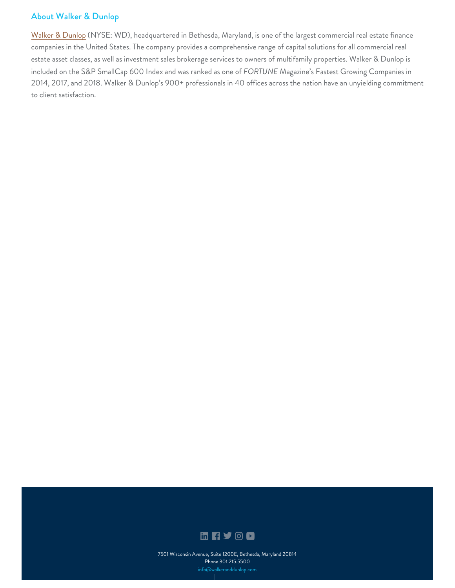## [About](https://www.walkerdunlop.com/) Walker & Dunlop

[Walker & Dunlop](https://www.walkerdunlop.com/what-makes-us-different/) (NYSE: WD), headquartered in Bethesda, Maryland, is one of the largest commercial real estate finance companies in the United States. The company provides a comprehensive range of capital solutions for all commercial real estate asset classes, as well as investment sales brokerage services to owners of multifamily properties. Walker & Dunlop is included on the S&P SmallCap 600 Index and was ranked as one of *FORTUNE* Magazine's Fastest Growing Companies in 2014, 2017, and 2018. Walker & Dunlop's 900+ professionals in 40 offices across the nation have an unyielding commitment to client satisfaction.



[7501 Wisconsin Avenue, Suite 1200E, Bethesda, Maryland 20814](https://www.google.com/maps/place/7501+Wisconsin+Ave+%231200e,+Bethesda,+MD+20814/@38.9853733,-77.0957376,17z/data=!3m1!4b1!4m5!3m4!1s0x89b7c965260cc843:0x7d33dbcc3f828a14!8m2!3d38.9853692!4d-77.0935436/) Phone 301.215.5500